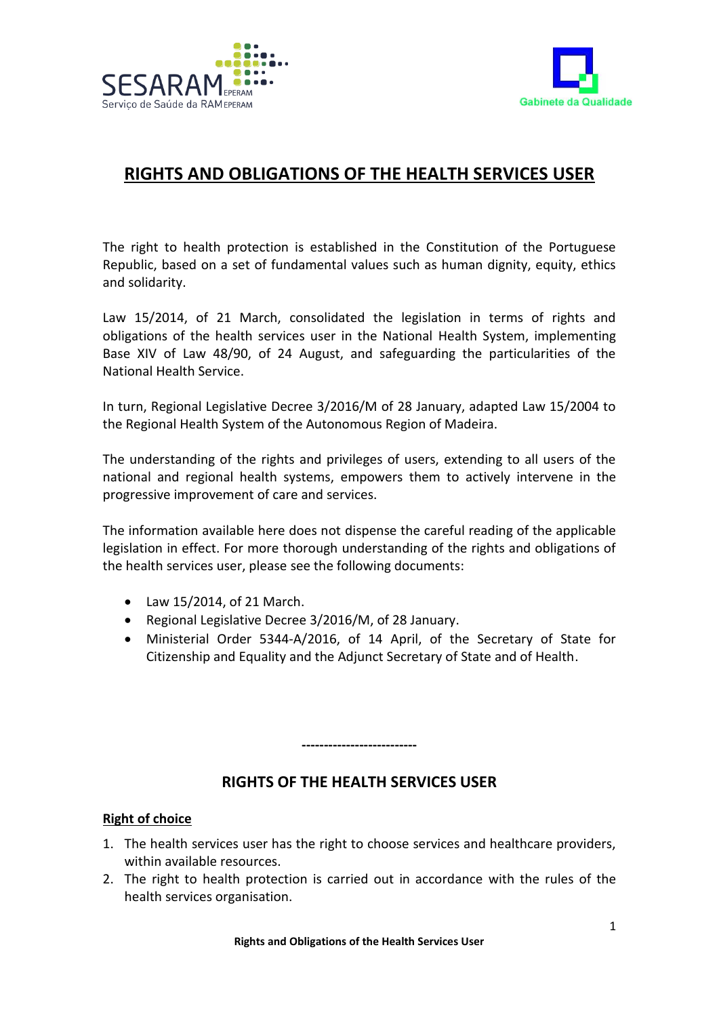



# **RIGHTS AND OBLIGATIONS OF THE HEALTH SERVICES USER**

The right to health protection is established in the Constitution of the Portuguese Republic, based on a set of fundamental values such as human dignity, equity, ethics and solidarity.

Law 15/2014, of 21 March, consolidated the legislation in terms of rights and obligations of the health services user in the National Health System, implementing Base XIV of Law 48/90, of 24 August, and safeguarding the particularities of the National Health Service.

In turn, Regional Legislative Decree 3/2016/M of 28 January, adapted Law 15/2004 to the Regional Health System of the Autonomous Region of Madeira.

The understanding of the rights and privileges of users, extending to all users of the national and regional health systems, empowers them to actively intervene in the progressive improvement of care and services.

The information available here does not dispense the careful reading of the applicable legislation in effect. For more thorough understanding of the rights and obligations of the health services user, please see the following documents:

- Law 15/2014, of 21 March.
- Regional Legislative Decree 3/2016/M, of 28 January.
- Ministerial Order 5344-A/2016, of 14 April, of the Secretary of State for Citizenship and Equality and the Adjunct Secretary of State and of Health.

# **RIGHTS OF THE HEALTH SERVICES USER**

**--------------------------**

#### **Right of choice**

- 1. The health services user has the right to choose services and healthcare providers, within available resources.
- 2. The right to health protection is carried out in accordance with the rules of the health services organisation.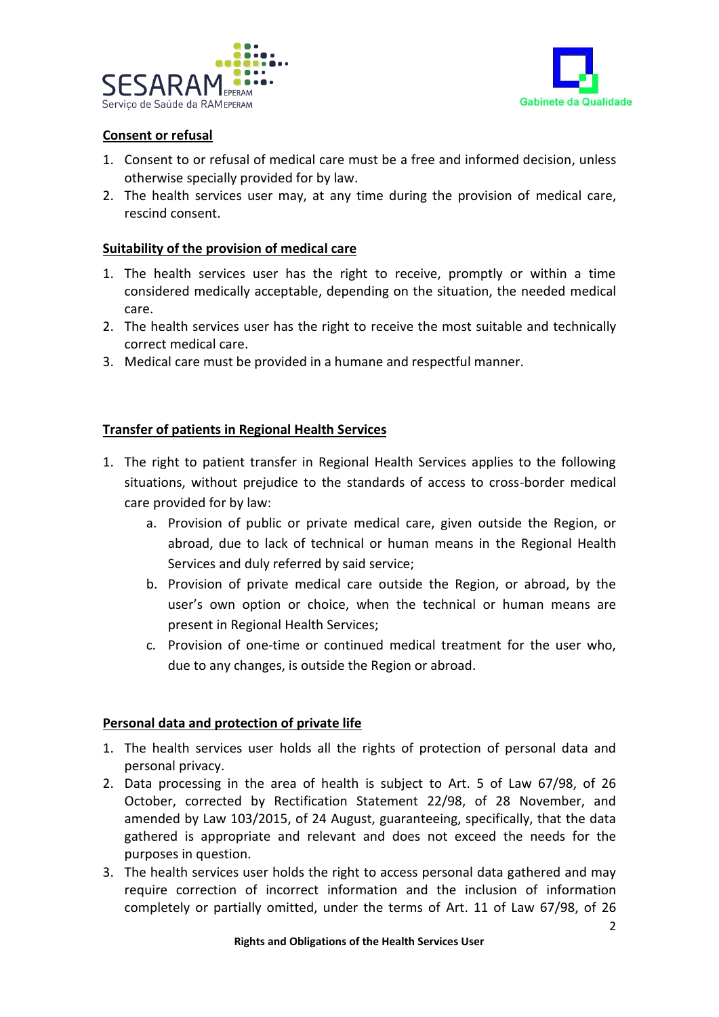



## **Consent or refusal**

- 1. Consent to or refusal of medical care must be a free and informed decision, unless otherwise specially provided for by law.
- 2. The health services user may, at any time during the provision of medical care, rescind consent.

#### **Suitability of the provision of medical care**

- 1. The health services user has the right to receive, promptly or within a time considered medically acceptable, depending on the situation, the needed medical care.
- 2. The health services user has the right to receive the most suitable and technically correct medical care.
- 3. Medical care must be provided in a humane and respectful manner.

#### **Transfer of patients in Regional Health Services**

- 1. The right to patient transfer in Regional Health Services applies to the following situations, without prejudice to the standards of access to cross-border medical care provided for by law:
	- a. Provision of public or private medical care, given outside the Region, or abroad, due to lack of technical or human means in the Regional Health Services and duly referred by said service;
	- b. Provision of private medical care outside the Region, or abroad, by the user's own option or choice, when the technical or human means are present in Regional Health Services;
	- c. Provision of one-time or continued medical treatment for the user who, due to any changes, is outside the Region or abroad.

## **Personal data and protection of private life**

- 1. The health services user holds all the rights of protection of personal data and personal privacy.
- 2. Data processing in the area of health is subject to Art. 5 of Law 67/98, of 26 October, corrected by Rectification Statement 22/98, of 28 November, and amended by Law 103/2015, of 24 August, guaranteeing, specifically, that the data gathered is appropriate and relevant and does not exceed the needs for the purposes in question.
- 3. The health services user holds the right to access personal data gathered and may require correction of incorrect information and the inclusion of information completely or partially omitted, under the terms of Art. 11 of Law 67/98, of 26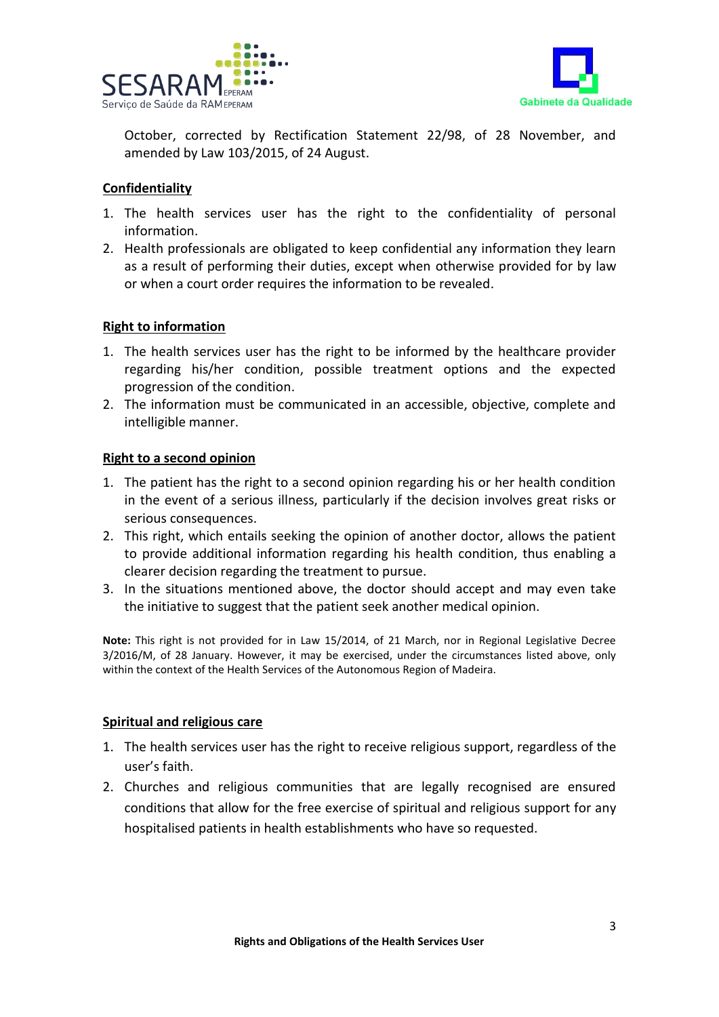



October, corrected by Rectification Statement 22/98, of 28 November, and amended by Law 103/2015, of 24 August.

## **Confidentiality**

- 1. The health services user has the right to the confidentiality of personal information.
- 2. Health professionals are obligated to keep confidential any information they learn as a result of performing their duties, except when otherwise provided for by law or when a court order requires the information to be revealed.

#### **Right to information**

- 1. The health services user has the right to be informed by the healthcare provider regarding his/her condition, possible treatment options and the expected progression of the condition.
- 2. The information must be communicated in an accessible, objective, complete and intelligible manner.

#### **Right to a second opinion**

- 1. The patient has the right to a second opinion regarding his or her health condition in the event of a serious illness, particularly if the decision involves great risks or serious consequences.
- 2. This right, which entails seeking the opinion of another doctor, allows the patient to provide additional information regarding his health condition, thus enabling a clearer decision regarding the treatment to pursue.
- 3. In the situations mentioned above, the doctor should accept and may even take the initiative to suggest that the patient seek another medical opinion.

**Note:** This right is not provided for in Law 15/2014, of 21 March, nor in Regional Legislative Decree 3/2016/M, of 28 January. However, it may be exercised, under the circumstances listed above, only within the context of the Health Services of the Autonomous Region of Madeira.

#### **Spiritual and religious care**

- 1. The health services user has the right to receive religious support, regardless of the user's faith.
- 2. Churches and religious communities that are legally recognised are ensured conditions that allow for the free exercise of spiritual and religious support for any hospitalised patients in health establishments who have so requested.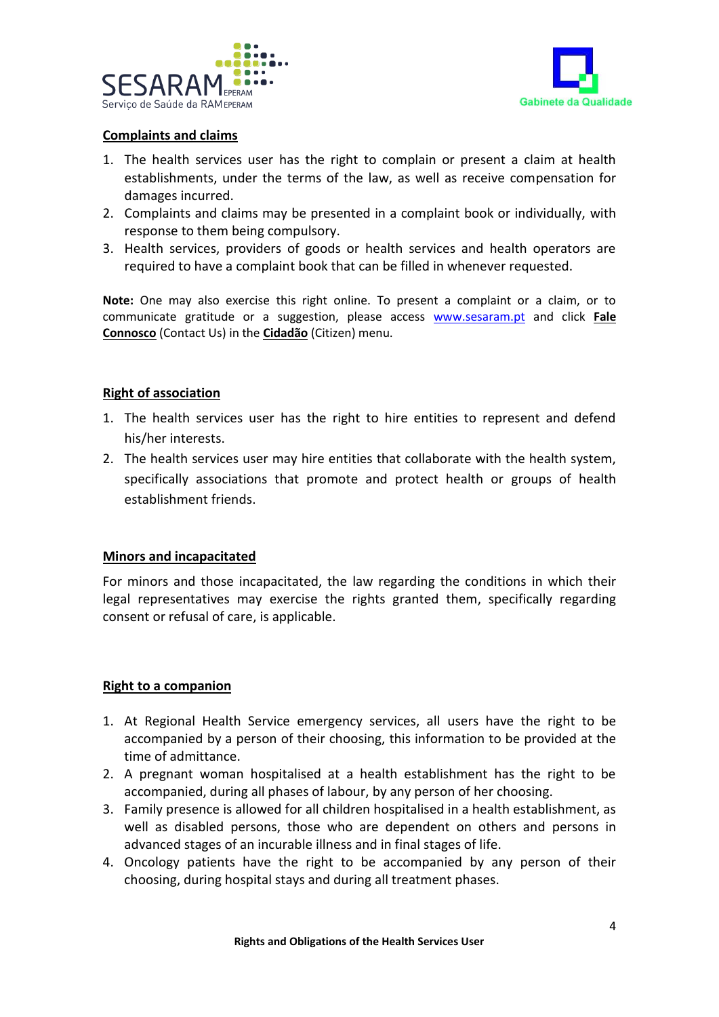



## **Complaints and claims**

- 1. The health services user has the right to complain or present a claim at health establishments, under the terms of the law, as well as receive compensation for damages incurred.
- 2. Complaints and claims may be presented in a complaint book or individually, with response to them being compulsory.
- 3. Health services, providers of goods or health services and health operators are required to have a complaint book that can be filled in whenever requested.

**Note:** One may also exercise this right online. To present a complaint or a claim, or to communicate gratitude or a suggestion, please access [www.sesaram.pt](http://www.sesaram.pt/) and click **Fale Connosco** (Contact Us) in the **Cidadão** (Citizen) menu.

#### **Right of association**

- 1. The health services user has the right to hire entities to represent and defend his/her interests.
- 2. The health services user may hire entities that collaborate with the health system, specifically associations that promote and protect health or groups of health establishment friends.

## **Minors and incapacitated**

For minors and those incapacitated, the law regarding the conditions in which their legal representatives may exercise the rights granted them, specifically regarding consent or refusal of care, is applicable.

## **Right to a companion**

- 1. At Regional Health Service emergency services, all users have the right to be accompanied by a person of their choosing, this information to be provided at the time of admittance.
- 2. A pregnant woman hospitalised at a health establishment has the right to be accompanied, during all phases of labour, by any person of her choosing.
- 3. Family presence is allowed for all children hospitalised in a health establishment, as well as disabled persons, those who are dependent on others and persons in advanced stages of an incurable illness and in final stages of life.
- 4. Oncology patients have the right to be accompanied by any person of their choosing, during hospital stays and during all treatment phases.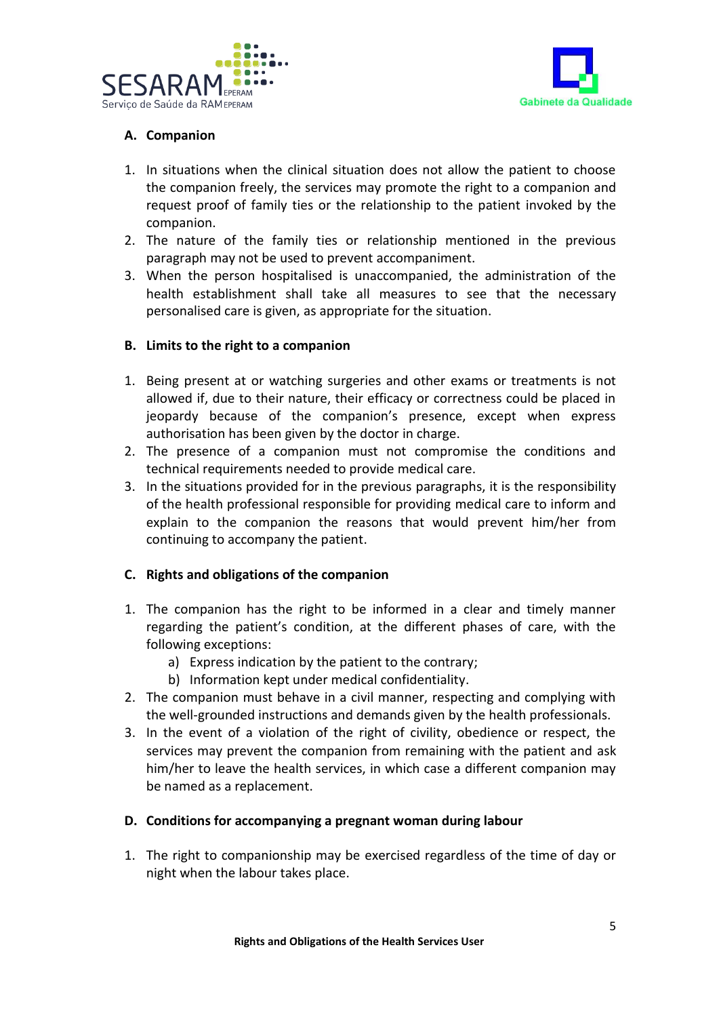



# **A. Companion**

- 1. In situations when the clinical situation does not allow the patient to choose the companion freely, the services may promote the right to a companion and request proof of family ties or the relationship to the patient invoked by the companion.
- 2. The nature of the family ties or relationship mentioned in the previous paragraph may not be used to prevent accompaniment.
- 3. When the person hospitalised is unaccompanied, the administration of the health establishment shall take all measures to see that the necessary personalised care is given, as appropriate for the situation.

#### **B. Limits to the right to a companion**

- 1. Being present at or watching surgeries and other exams or treatments is not allowed if, due to their nature, their efficacy or correctness could be placed in jeopardy because of the companion's presence, except when express authorisation has been given by the doctor in charge.
- 2. The presence of a companion must not compromise the conditions and technical requirements needed to provide medical care.
- 3. In the situations provided for in the previous paragraphs, it is the responsibility of the health professional responsible for providing medical care to inform and explain to the companion the reasons that would prevent him/her from continuing to accompany the patient.

## **C. Rights and obligations of the companion**

- 1. The companion has the right to be informed in a clear and timely manner regarding the patient's condition, at the different phases of care, with the following exceptions:
	- a) Express indication by the patient to the contrary;
	- b) Information kept under medical confidentiality.
- 2. The companion must behave in a civil manner, respecting and complying with the well-grounded instructions and demands given by the health professionals.
- 3. In the event of a violation of the right of civility, obedience or respect, the services may prevent the companion from remaining with the patient and ask him/her to leave the health services, in which case a different companion may be named as a replacement.

## **D. Conditions for accompanying a pregnant woman during labour**

1. The right to companionship may be exercised regardless of the time of day or night when the labour takes place.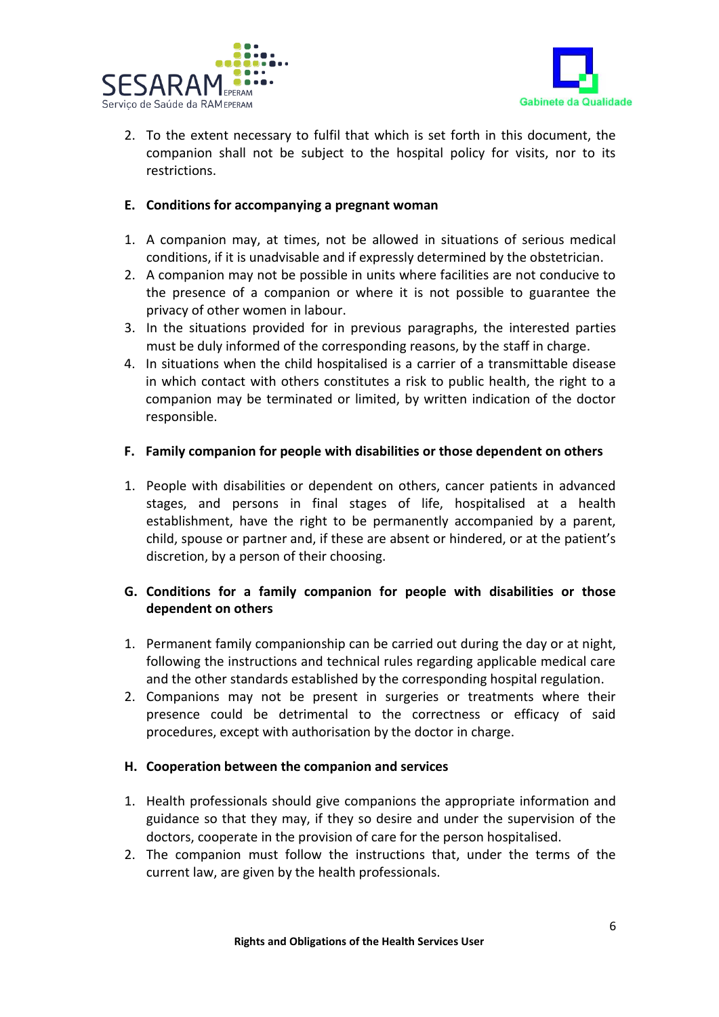



2. To the extent necessary to fulfil that which is set forth in this document, the companion shall not be subject to the hospital policy for visits, nor to its restrictions.

#### **E. Conditions for accompanying a pregnant woman**

- 1. A companion may, at times, not be allowed in situations of serious medical conditions, if it is unadvisable and if expressly determined by the obstetrician.
- 2. A companion may not be possible in units where facilities are not conducive to the presence of a companion or where it is not possible to guarantee the privacy of other women in labour.
- 3. In the situations provided for in previous paragraphs, the interested parties must be duly informed of the corresponding reasons, by the staff in charge.
- 4. In situations when the child hospitalised is a carrier of a transmittable disease in which contact with others constitutes a risk to public health, the right to a companion may be terminated or limited, by written indication of the doctor responsible.

#### **F. Family companion for people with disabilities or those dependent on others**

1. People with disabilities or dependent on others, cancer patients in advanced stages, and persons in final stages of life, hospitalised at a health establishment, have the right to be permanently accompanied by a parent, child, spouse or partner and, if these are absent or hindered, or at the patient's discretion, by a person of their choosing.

## **G. Conditions for a family companion for people with disabilities or those dependent on others**

- 1. Permanent family companionship can be carried out during the day or at night, following the instructions and technical rules regarding applicable medical care and the other standards established by the corresponding hospital regulation.
- 2. Companions may not be present in surgeries or treatments where their presence could be detrimental to the correctness or efficacy of said procedures, except with authorisation by the doctor in charge.

#### **H. Cooperation between the companion and services**

- 1. Health professionals should give companions the appropriate information and guidance so that they may, if they so desire and under the supervision of the doctors, cooperate in the provision of care for the person hospitalised.
- 2. The companion must follow the instructions that, under the terms of the current law, are given by the health professionals.